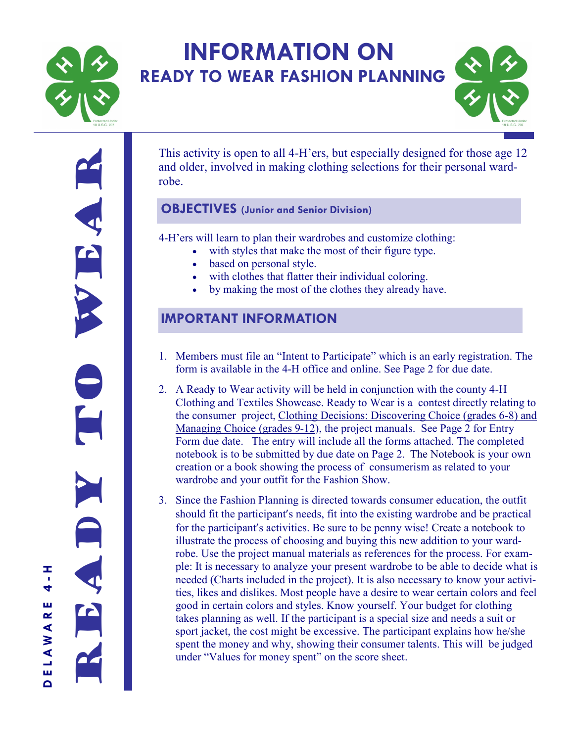

# **INFORMATION ON READY TO WEAR FASHION PLANNING**



Ready to the search Ě

**D E L A W A R E 4 - H**

LAWA

ш  $\Omega$ 

T 4 ш  $\propto$ 

This activity is open to all 4-H'ers, but especially designed for those age 12 and older, involved in making clothing selections for their personal wardrobe.

### **OBJECTIVES (Junior and Senior Division)**

4-H'ers will learn to plan their wardrobes and customize clothing:

- with styles that make the most of their figure type.
- based on personal style.
- with clothes that flatter their individual coloring.
- by making the most of the clothes they already have.

# **IMPORTANT INFORMATION**

- 1. Members must file an "Intent to Participate" which is an early registration. The form is available in the 4-H office and online. See Page 2 for due date.
- 2. A Read**y** to Wear activity will be held in conjunction with the county 4-H Clothing and Textiles Showcase. Ready to Wear is a contest directly relating to the consumer project, Clothing Decisions: Discovering Choice (grades 6-8) and Managing Choice (grades 9-12), the project manuals. See Page 2 for Entry Form due date. The entry will include all the forms attached. The completed notebook is to be submitted by due date on Page 2.The Notebook is your own creation or a book showing the process of consumerism as related to your wardrobe and your outfit for the Fashion Show.
- 3. Since the Fashion Planning is directed towards consumer education, the outfit should fit the participant's needs, fit into the existing wardrobe and be practical for the participant's activities. Be sure to be penny wise! Create a notebook to illustrate the process of choosing and buying this new addition to your wardrobe. Use the project manual materials as references for the process. For example: It is necessary to analyze your present wardrobe to be able to decide what is needed (Charts included in the project). It is also necessary to know your activities, likes and dislikes. Most people have a desire to wear certain colors and feel good in certain colors and styles. Know yourself. Your budget for clothing takes planning as well. If the participant is a special size and needs a suit or sport jacket, the cost might be excessive. The participant explains how he/she spent the money and why, showing their consumer talents. This will be judged under "Values for money spent" on the score sheet.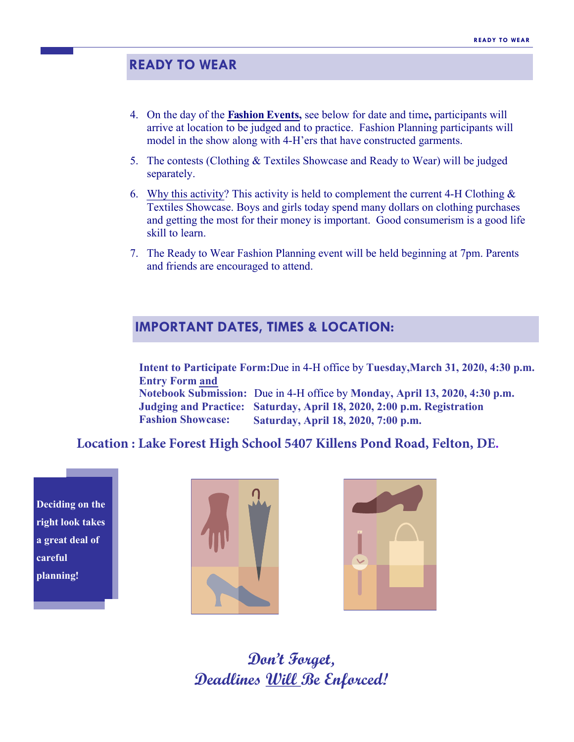## **READY TO WEAR**

- 4. On the day of the **Fashion Events,** see below for date and time**,** participants will arrive at location to be judged and to practice. Fashion Planning participants will model in the show along with 4-H'ers that have constructed garments.
- 5. The contests (Clothing & Textiles Showcase and Ready to Wear) will be judged separately.
- 6. Why this activity? This activity is held to complement the current 4-H Clothing  $\&$ Textiles Showcase. Boys and girls today spend many dollars on clothing purchases and getting the most for their money is important. Good consumerism is a good life skill to learn.
- 7. The Ready to Wear Fashion Planning event will be held beginning at 7pm. Parents and friends are encouraged to attend.

### **IMPORTANT DATES, TIMES & LOCATION:**

**Intent to Participate Form:**Due in 4-H office by **Tuesday,March 31, 2020, 4:30 p.m. Entry Form and**

**Notebook Submission:** Due in 4-H office by **Monday, April 13, 2020, 4:30 p.m. Judging and Practice: Saturday, April 18, 2020, 2:00 p.m. Registration Fashion Showcase: Saturday, April 18, 2020, 7:00 p.m.**

### **Location : Lake Forest High School 5407 Killens Pond Road, Felton, DE.**

**Deciding on the right look takes a great deal of careful planning!**





**Don't Forget, Deadlines Will Be Enforced!**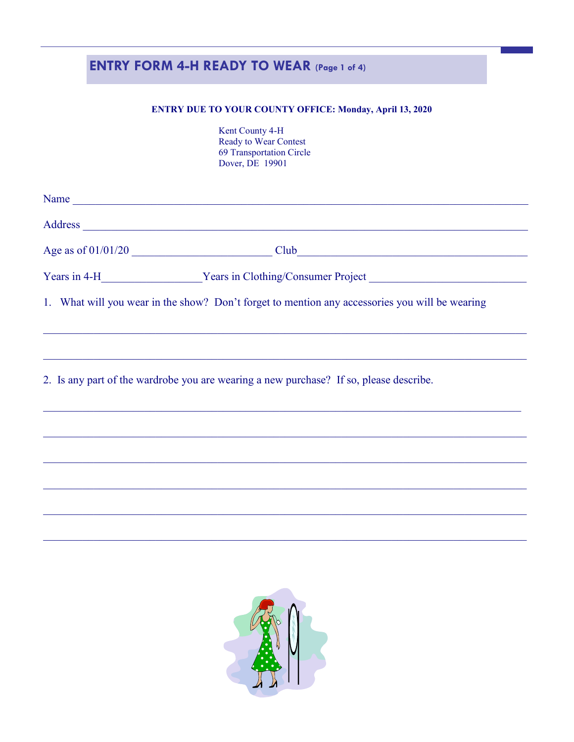# **ENTRY FORM 4-H READY TO WEAR (Page 1 of 4)**

#### **ENTRY DUE TO YOUR COUNTY OFFICE: Monday, April 13, 2020**

Kent County 4-H Ready to Wear Contest 69 Transportation Circle Dover, DE 19901

| Name |                                                                                                |
|------|------------------------------------------------------------------------------------------------|
|      |                                                                                                |
|      |                                                                                                |
|      |                                                                                                |
|      | 1. What will you wear in the show? Don't forget to mention any accessories you will be wearing |
|      |                                                                                                |
|      | 2. Is any part of the wardrobe you are wearing a new purchase? If so, please describe.         |
|      |                                                                                                |
|      |                                                                                                |
|      |                                                                                                |
|      |                                                                                                |
|      |                                                                                                |
|      |                                                                                                |
|      |                                                                                                |

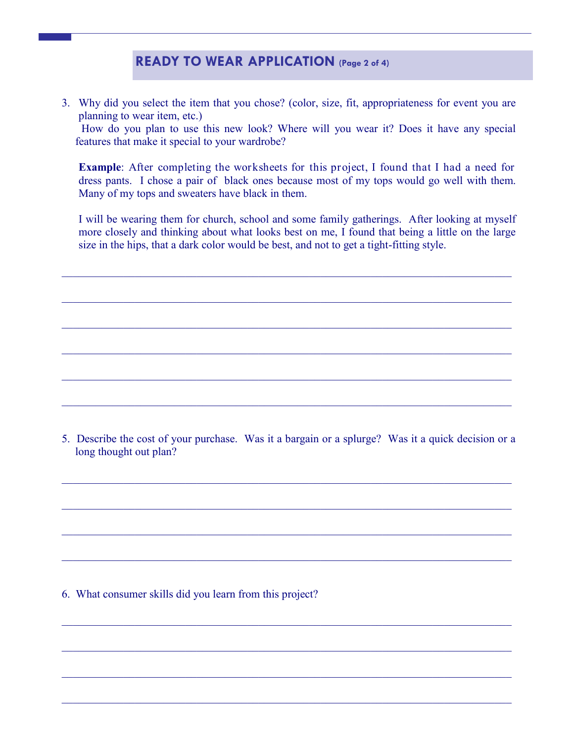## **READY TO WEAR APPLICATION (Page 2 of 4)**

3. Why did you select the item that you chose? (color, size, fit, appropriateness for event you are planning to wear item, etc.)

How do you plan to use this new look? Where will you wear it? Does it have any special features that make it special to your wardrobe?

**Example**: After completing the worksheets for this project, I found that I had a need for dress pants. I chose a pair of black ones because most of my tops would go well with them. Many of my tops and sweaters have black in them.

I will be wearing them for church, school and some family gatherings. After looking at myself more closely and thinking about what looks best on me, I found that being a little on the large size in the hips, that a dark color would be best, and not to get a tight-fitting style.

 $\mathcal{L}_\mathcal{L} = \{ \mathcal{L}_\mathcal{L} = \{ \mathcal{L}_\mathcal{L} = \{ \mathcal{L}_\mathcal{L} = \{ \mathcal{L}_\mathcal{L} = \{ \mathcal{L}_\mathcal{L} = \{ \mathcal{L}_\mathcal{L} = \{ \mathcal{L}_\mathcal{L} = \{ \mathcal{L}_\mathcal{L} = \{ \mathcal{L}_\mathcal{L} = \{ \mathcal{L}_\mathcal{L} = \{ \mathcal{L}_\mathcal{L} = \{ \mathcal{L}_\mathcal{L} = \{ \mathcal{L}_\mathcal{L} = \{ \mathcal{L}_\mathcal{$ 

 $\_$  , and the contribution of the contribution of  $\mathcal{L}_\mathcal{A}$  , and the contribution of  $\mathcal{L}_\mathcal{A}$ 

 $\_$  , and the contribution of the contribution of  $\mathcal{L}_\mathcal{A}$  , and the contribution of  $\mathcal{L}_\mathcal{A}$ 

 $\_$  , and the contribution of the contribution of  $\mathcal{L}_\mathcal{A}$  , and the contribution of  $\mathcal{L}_\mathcal{A}$ 

 $\_$  , and the contribution of the contribution of  $\mathcal{L}_\mathcal{A}$  , and the contribution of  $\mathcal{L}_\mathcal{A}$ 

 $\_$  , and the contribution of the contribution of  $\mathcal{L}_\mathcal{A}$  , and the contribution of  $\mathcal{L}_\mathcal{A}$ 

5. Describe the cost of your purchase. Was it a bargain or a splurge? Was it a quick decision or a long thought out plan?

 $\_$  , and the contribution of the contribution of  $\mathcal{L}_\mathcal{A}$  , and the contribution of  $\mathcal{L}_\mathcal{A}$ 

 $\mathcal{L}_\mathcal{L} = \{ \mathcal{L}_\mathcal{L} = \{ \mathcal{L}_\mathcal{L} = \{ \mathcal{L}_\mathcal{L} = \{ \mathcal{L}_\mathcal{L} = \{ \mathcal{L}_\mathcal{L} = \{ \mathcal{L}_\mathcal{L} = \{ \mathcal{L}_\mathcal{L} = \{ \mathcal{L}_\mathcal{L} = \{ \mathcal{L}_\mathcal{L} = \{ \mathcal{L}_\mathcal{L} = \{ \mathcal{L}_\mathcal{L} = \{ \mathcal{L}_\mathcal{L} = \{ \mathcal{L}_\mathcal{L} = \{ \mathcal{L}_\mathcal{$ 

 $\_$  , and the contribution of the contribution of  $\mathcal{L}_\mathcal{A}$  , and the contribution of  $\mathcal{L}_\mathcal{A}$ 

 $\_$  , and the set of the set of the set of the set of the set of the set of the set of the set of the set of the set of the set of the set of the set of the set of the set of the set of the set of the set of the set of th

 $\_$  , and the contribution of the contribution of  $\mathcal{L}_\mathcal{A}$  , and the contribution of  $\mathcal{L}_\mathcal{A}$ 

 $\mathcal{L}_\mathcal{L} = \{ \mathcal{L}_\mathcal{L} = \{ \mathcal{L}_\mathcal{L} = \{ \mathcal{L}_\mathcal{L} = \{ \mathcal{L}_\mathcal{L} = \{ \mathcal{L}_\mathcal{L} = \{ \mathcal{L}_\mathcal{L} = \{ \mathcal{L}_\mathcal{L} = \{ \mathcal{L}_\mathcal{L} = \{ \mathcal{L}_\mathcal{L} = \{ \mathcal{L}_\mathcal{L} = \{ \mathcal{L}_\mathcal{L} = \{ \mathcal{L}_\mathcal{L} = \{ \mathcal{L}_\mathcal{L} = \{ \mathcal{L}_\mathcal{$ 

 $\_$  , and the contribution of the contribution of  $\mathcal{L}_\mathcal{A}$  , and the contribution of  $\mathcal{L}_\mathcal{A}$ 

 $\_$  , and the contribution of the contribution of  $\mathcal{L}_\mathcal{A}$  , and the contribution of  $\mathcal{L}_\mathcal{A}$ 

6. What consumer skills did you learn from this project?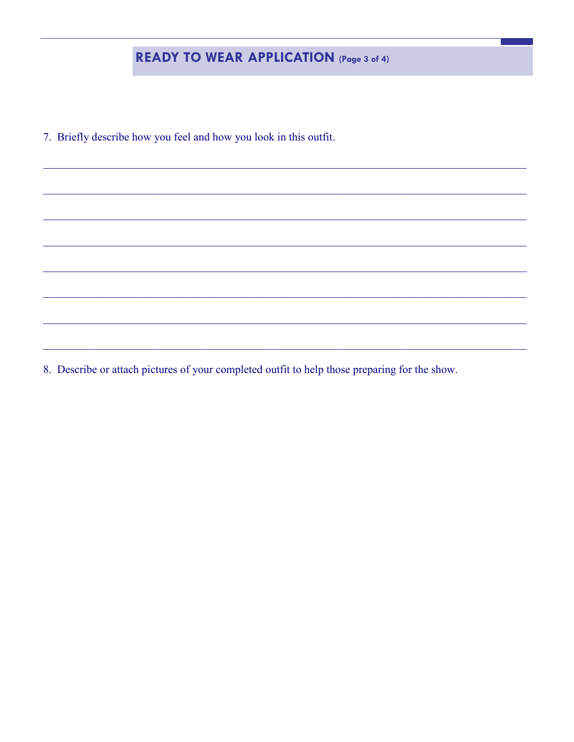# **READY TO WEAR APPLICATION** (Page 3 of 4)

7. Briefly describe how you feel and how you look in this outfit.

8. Describe or attach pictures of your completed outfit to help those preparing for the show.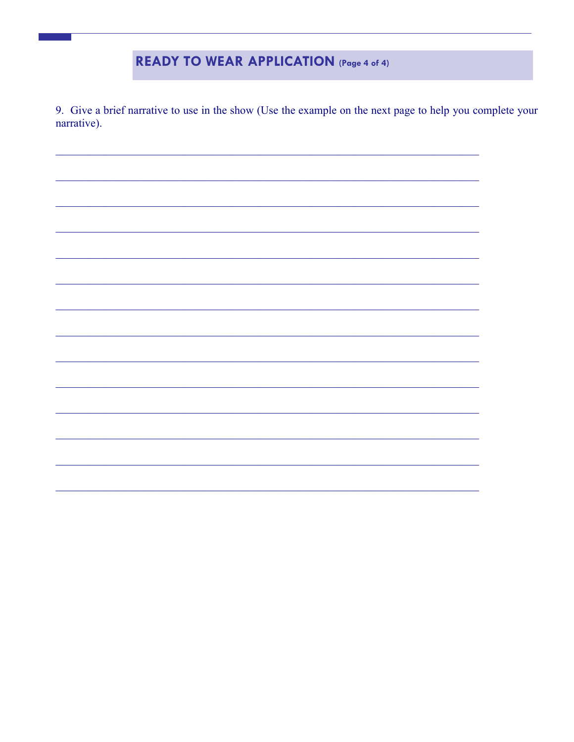# **READY TO WEAR APPLICATION (Page 4 of 4)**

9. Give a brief narrative to use in the show (Use the example on the next page to help you complete your narrative).